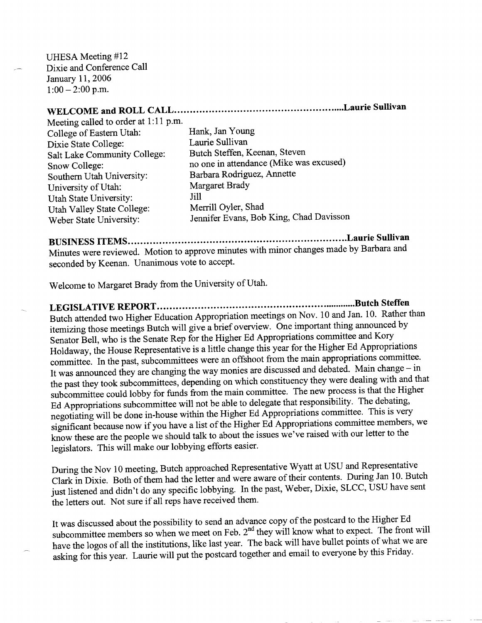UHESA Meeting #12  $\sum_{i=1}^{n}$  and  $Conference$  Call  $\frac{1 \text{AU}}{2006}$ January 11, 2006<br>1:00 – 2:00 p.m.

## **WELCOME and ROLL CALL Laurie Sullivan**

Meeting called to order at 1:11 p.m. College of Eastern Utah: Hank, Jan Young Dixie State College: Laurie Sullivan Salt Lake Community College: Butch Steffen, Keenan, Steven Southern Utah University: Barbara Rodriguez, Annette University of Utah: Margaret Brady Utah State University: Jill Utah Valley State College: Merrill Oyler, Shad

Snow College: no one in attendance (Mike was excused) Weber State University: Jennifer Evans, Bob King, Chad Davisson

**BUSINESS ITEMS Laurie Sullivan** Minutes were reviewed. Motion to approve minutes with minor changes made by Barbara and seconded by Keenan. Unanimous vote to accept.

Welcome to Margaret Brady from the University of Utah.

**LEGISLATIVE REPORT Butch Steffen** Butch attended two Higher Education Appropriation meetings on Nov. 10 and Jan. 10. Rather than itemizing those meetings Butch will give a brief overview. One important thing announced by Senator Bell, who is the Senate Rep for the Higher Ed Appropriations committee and Kory Holdaway, the House Representative is a little change this year for the Higher Ed Appropriations committee. In the past, subcommittees were an offshoot from the main appropriations committee. It was announced they are changing the way monies are discussed and debated. Main change - in the past they took subcommittees, depending on which constituency they were dealing with and that subcommittee could lobby for funds from the main committee. The new process is that the Higher Ed Appropriations subcommittee will not be able to delegate that responsibility. The debating, negotiating will be done in-house within the Higher Ed Appropriations committee. This is very significant because now if you have a list of the Higher Ed Appropriations committee members, we know these are the people we should talk to about the issues we've raised with our letter to the legislators. This will make our lobbying efforts easier.

During the Nov 10 meeting, Butch approached Representative Wyatt at USU and Representative Clark in Dixie. Both of them had the letter and were aware of their contents. During Jan 10. Butch just listened and didn't do any specific lobbying. In the past, Weber, Dixie, SLCC, USU have sent the letters out. Not sure if all reps have received them.

It was discussed about the possibility to send an advance copy of the postcard to the Higher Ed subcommittee members so when we meet on Feb.  $2<sup>nd</sup>$  they will know what to expect. The front will have the logos of all the institutions, like last year. The back will have bullet points of what we are asking for this year. Laurie will put the postcard together and email to everyone by this Friday.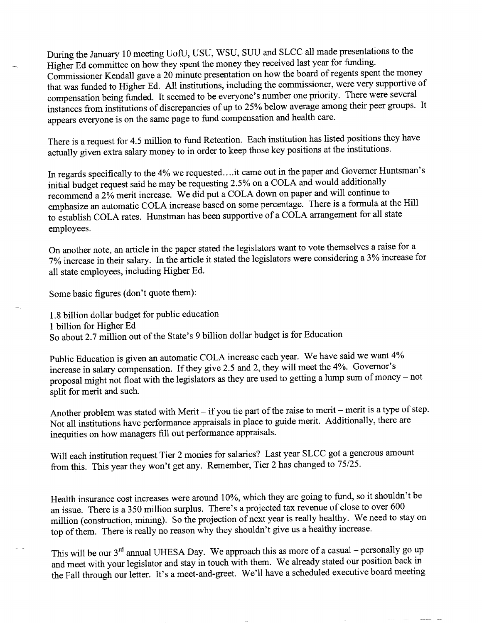During the January 10 meeting UofU, USU, WSU, SUU and SLCC all made presentations to the Higher Ed committee on how they spent the money they received last year for funding. Commissioner Kendall gave a 20 minute presentation on how the board of regents spent the money that was funded to Higher Ed. All institutions, including the commissioner, were very supportive of compensation being funded. It seemed to be everyone's number one priority. There were several instances from institutions of discrepancies of up to 25% below average among their peer groups. It appears everyone is on the same page to fund compensation and health care.

There is a request for 4.5 million to fund Retention. Each institution has listed positions they have actually given extra salary money to in order to keep those key positions at the institutions.

In regards specifically to the 4% we requested.. ..it came out in the paper and Governer Huntsman's initial budget request said he may be requesting 2.5% on a COLA and would additionally recommend a 2% merit increase. We did put a COLA down on paper and will continue to emphasize an automatic COLA increase based on some percentage. There is a formula at the Hill to establish COLA rates. Hunstman has been supportive of a COLA arrangement for all state employees.

On another note, an article in the paper stated the legislators want to vote themselves a raise for a 7% increase in their salary. In the article it stated the legislators were considering a 3% increase for all state employees, including Higher Ed.

Some basic figures (don't quote them):

1.8 billion dollar budget for public education 1 billion for Higher Ed So about 2.7 million out of the State's 9 billion dollar budget is for Education

Public Education is given an automatic COLA increase each year. We have said we want 4% increase in salary compensation. If they give 2.5 and 2, they will meet the 4%. Governor's proposal might not float with the legislators as they are used to getting a lump sum of money - not split for merit and such.

Another problem was stated with Merit - if you tie part of the raise to merit - merit is a type of step. Not all institutions have performance appraisals in place to guide merit. Additionally, there are inequities on how managers fill out performance appraisals.

Will each institution request Tier 2 monies for salaries? Last year SLCC got a generous amount from this. This year they won't get any. Remember, Tier 2 has changed to 75/25.

Health insurance cost increases were around 10%, which they are going to fund, so it shouldn't be an issue. There is a 350 million surplus. There's a projected tax revenue of close to over 600 million (construction, mining). So the projection of next year is really healthy. We need to stay on top of them. There is really no reason why they shouldn't give us a healthy increase.

This will be our 3<sup>rd</sup> annual UHESA Day. We approach this as more of a casual – personally go up and meet with your legislator and stay in touch with them. We already stated our position back in the Fall through our letter. It's a meet-and-greet. We'll have a scheduled executive board meeting